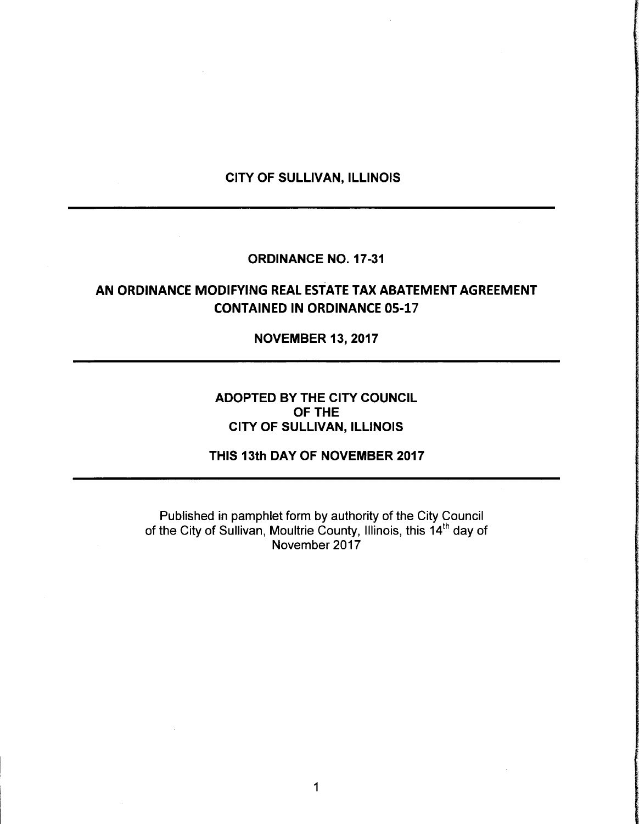#### CITY OF SULLIVAN, ILLINOIS

#### ORDINANCE NO. 17-31

# AN ORDINANCE MODIFYING REAL ESTATE TAX ABATEMENT AGREEMENT **CONTAINED IN ORDINANCE 05-17**

NOVEMBER 13, 2017

### ADOPTED BY THE CITY COUNCIL OF THE CITY OF SULLIVAN, ILLINOIS

THIS 13th DAY OF NOVEMBER 2017

Published in pamphlet form by authority of the City Council of the City of Sullivan, Moultrie County, Illinois, this 14<sup>th</sup> day of November 2017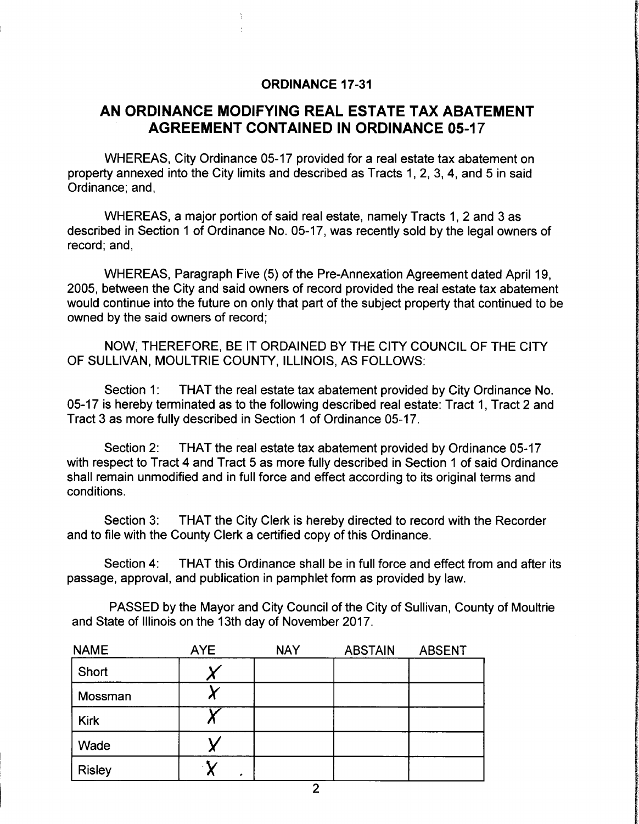#### ORDINANCE 17-31

# AN ORDINANCE MODIFYING REAL ESTATE TAX ABATEMENT **AGREEMENT CONTAINED IN ORDINANCE 05-17**

WHEREAS, City Ordinance 05-17 provided for a real estate tax abatement on property annexed into the City limits and described as Tracts 1, 2, 3, 4, and 5 in said Ordinance; and,

WHEREAS, a major portion of said real estate, namely Tracts 1, 2 and 3 as described in Section <sup>1</sup> of Ordinance No. 05- 17, was recently sold by the legal owners of record; and,

WHEREAS, Paragraph Five (5) of the Pre-Annexation Agreement dated April 19, 2005, between the City and said owners of record provided the real estate tax abatement would continue into the future on only that part of the subject property that continued to be owned by the said owners of record;

NOW, THEREFORE, BE IT ORDAINED BY THE CITY COUNCIL OF THE CITY OF SULLIVAN, MOULTRIE COUNTY, ILLINOIS, AS FOLLOWS:

Section 1: THAT the real estate tax abatement provided by City Ordinance No. 05- 17 is hereby terminated as to the following described real estate: Tract 1, Tract 2 and Tract 3 as more fully described in Section <sup>1</sup> of Ordinance 05- 17.

Section 2: THAT the real estate tax abatement provided by Ordinance 05-17 with respect to Tract 4 and Tract 5 as more fully described in Section <sup>1</sup> of said Ordinance shall remain unmodified and in full force and effect according to its original terms and conditions.

Section 3: THAT the City Clerk is hereby directed to record with the Recorder and to file with the County Clerk a certified copy of this Ordinance.

Section 4: THAT this Ordinance shall be in full force and effect from and after its passage, approval, and publication in pamphlet form as provided by law.

PASSED by the Mayor and City Council of the City of Sullivan, County of Moultrie and State of Illinois on the 13th day of November 2017.

| <b>NAME</b>   | AYE | <b>NAY</b> | <b>ABSTAIN</b> | <b>ABSENT</b> |
|---------------|-----|------------|----------------|---------------|
| Short         |     |            |                |               |
| Mossman       |     |            |                |               |
| <b>Kirk</b>   |     |            |                |               |
| Wade          |     |            |                |               |
| <b>Risley</b> |     |            |                |               |
|               |     | C          |                |               |